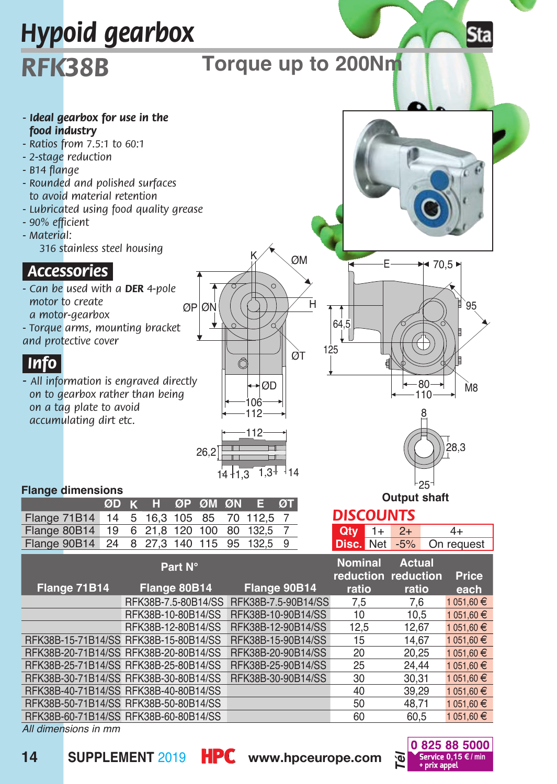

*All dimensions in mm*